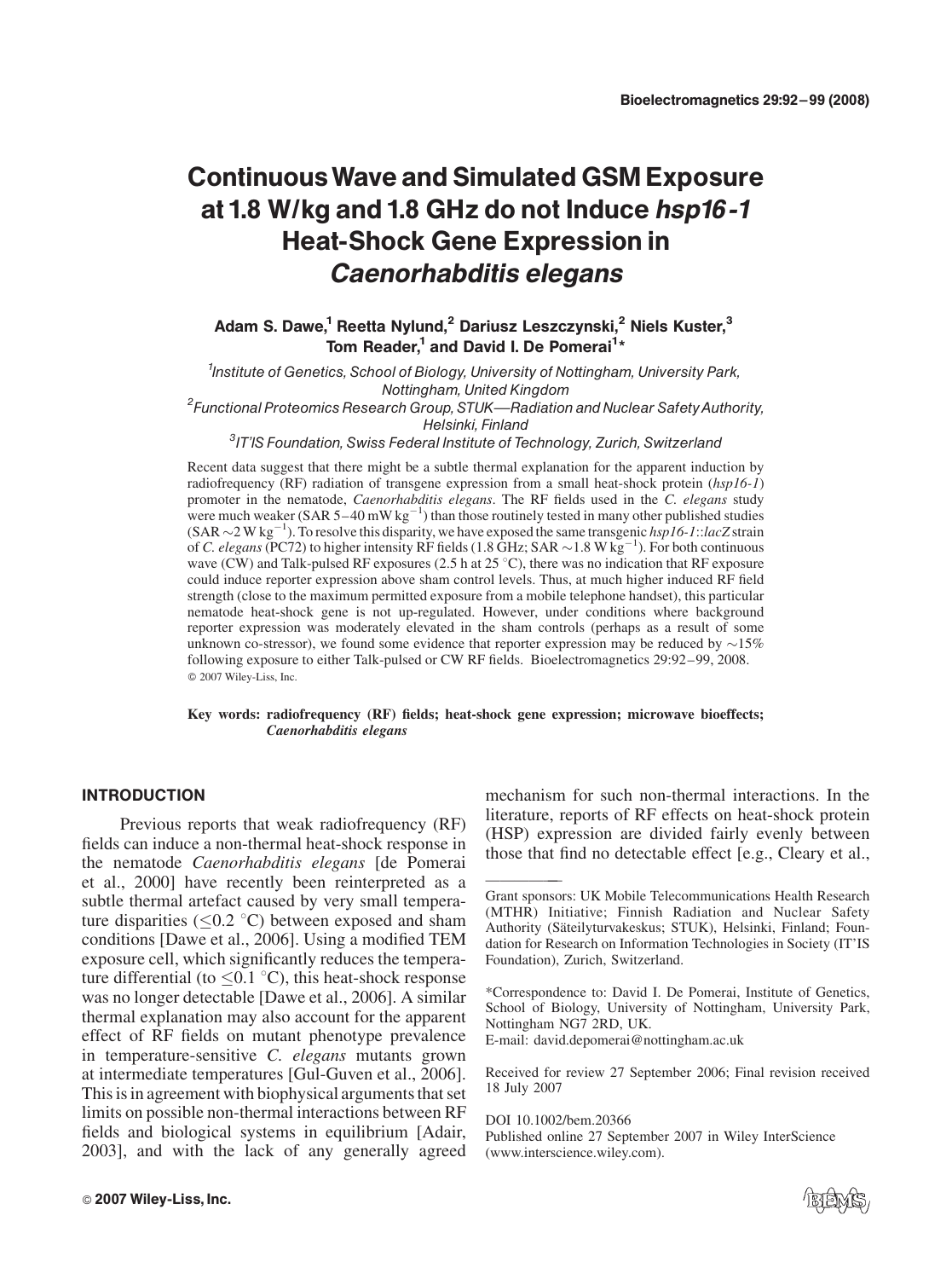# ContinuousWave and Simulated GSM Exposure at 1.8 W/kg and 1.8 GHz do not Induce hsp16 -1 Heat-Shock Gene Expression in Caenorhabditis elegans

# Adam S. Dawe,<sup>1</sup> Reetta Nylund,<sup>2</sup> Dariusz Leszczynski,<sup>2</sup> Niels Kuster,<sup>3</sup> Tom Reader,<sup>1</sup> and David I. De Pomerai<sup>1</sup>\*

<sup>1</sup>Institute of Genetics, School of Biology, University of Nottingham, University Park, Nottingham, United Kingdom<br><sup>2</sup>Functional Proteomics Research Group, STUK—Radiation and Nuclear Safety Authority, Helsinki, Finland<br>IT'IS Foundation, Swiss Federal Institute of Technology, Zurich, Switzerland<sup>3</sup>

Recent data suggest that there might be a subtle thermal explanation for the apparent induction by radiofrequency (RF) radiation of transgene expression from a small heat-shock protein (hsp16-1) promoter in the nematode, *Caenorhabditis elegans*. The RF fields used in the C. elegans study were much weaker (SAR  $5-40$  mW kg<sup>-1</sup>) than those routinely tested in many other published studies  $(SAR \sim 2 \text{ W kg}^{-1})$ . To resolve this disparity, we have exposed the same transgenic hsp16-1::lacZ strain of C. elegans (PC72) to higher intensity RF fields (1.8 GHz; SAR  $\sim$  1.8 W kg<sup>-1</sup>). For both continuous wave (CW) and Talk-pulsed RF exposures (2.5 h at 25 °C), there was no indication that RF exposure could induce reporter expression above sham control levels. Thus, at much higher induced RF field strength (close to the maximum permitted exposure from a mobile telephone handset), this particular nematode heat-shock gene is not up-regulated. However, under conditions where background reporter expression was moderately elevated in the sham controls (perhaps as a result of some unknown co-stressor), we found some evidence that reporter expression may be reduced by  $\sim$ 15% following exposure to either Talk-pulsed or CW RF fields. Bioelectromagnetics 29:92–99, 2008. 2007 Wiley-Liss, Inc.

#### Key words: radiofrequency (RF) fields; heat-shock gene expression; microwave bioeffects; Caenorhabditis elegans

——————

#### INTRODUCTION

Previous reports that weak radiofrequency (RF) fields can induce a non-thermal heat-shock response in the nematode Caenorhabditis elegans [de Pomerai et al., 2000] have recently been reinterpreted as a subtle thermal artefact caused by very small temperature disparities ( $\leq 0.2$  °C) between exposed and sham conditions [Dawe et al., 2006]. Using a modified TEM exposure cell, which significantly reduces the temperature differential (to  $\leq 0.1$  °C), this heat-shock response was no longer detectable [Dawe et al., 2006]. A similar thermal explanation may also account for the apparent effect of RF fields on mutant phenotype prevalence in temperature-sensitive C. elegans mutants grown at intermediate temperatures [Gul-Guven et al., 2006]. This is in agreement with biophysical arguments that set limits on possible non-thermal interactions between RF fields and biological systems in equilibrium [Adair, 2003], and with the lack of any generally agreed

mechanism for such non-thermal interactions. In the literature, reports of RF effects on heat-shock protein (HSP) expression are divided fairly evenly between those that find no detectable effect [e.g., Cleary et al.,

E-mail: david.depomerai@nottingham.ac.uk

Received for review 27 September 2006; Final revision received 18 July 2007

DOI 10.1002/bem.20366 Published online 27 September 2007 in Wiley InterScience (www.interscience.wiley.com).



Grant sponsors: UK Mobile Telecommunications Health Research (MTHR) Initiative; Finnish Radiation and Nuclear Safety Authority (Säteilyturvakeskus; STUK), Helsinki, Finland; Foundation for Research on Information Technologies in Society (IT'IS Foundation), Zurich, Switzerland.

<sup>\*</sup>Correspondence to: David I. De Pomerai, Institute of Genetics, School of Biology, University of Nottingham, University Park, Nottingham NG7 2RD, UK.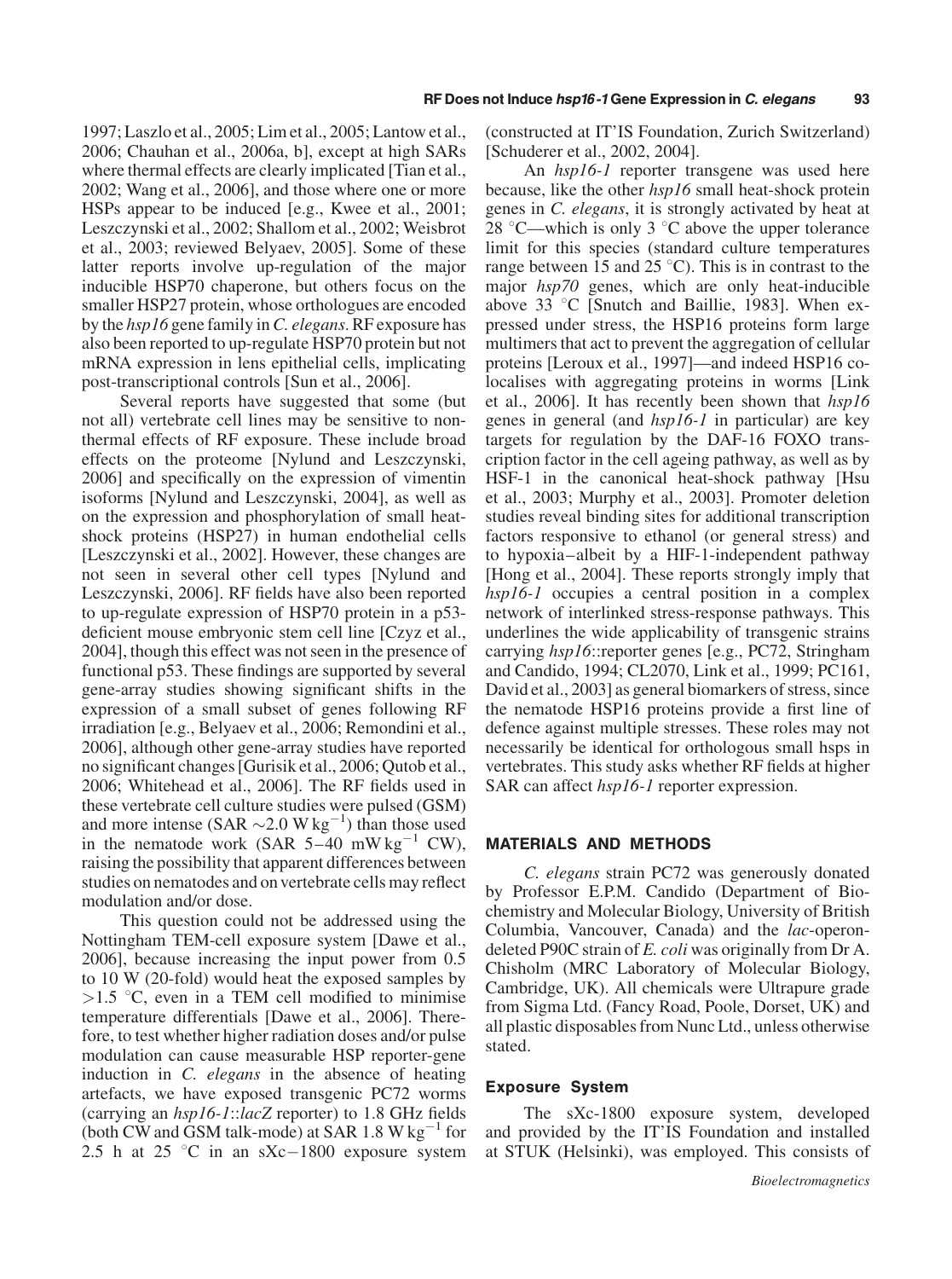1997; Laszlo et al., 2005; Lim et al., 2005; Lantow et al., 2006; Chauhan et al., 2006a, b], except at high SARs where thermal effects are clearly implicated [Tian et al., 2002; Wang et al., 2006], and those where one or more HSPs appear to be induced [e.g., Kwee et al., 2001; Leszczynski et al., 2002; Shallom et al., 2002; Weisbrot et al., 2003; reviewed Belyaev, 2005]. Some of these latter reports involve up-regulation of the major inducible HSP70 chaperone, but others focus on the smaller HSP27 protein, whose orthologues are encoded by the hsp16 gene family inC. elegans. RF exposure has also been reported to up-regulate HSP70 protein but not mRNA expression in lens epithelial cells, implicating post-transcriptional controls [Sun et al., 2006].

Several reports have suggested that some (but not all) vertebrate cell lines may be sensitive to nonthermal effects of RF exposure. These include broad effects on the proteome [Nylund and Leszczynski, 2006] and specifically on the expression of vimentin isoforms [Nylund and Leszczynski, 2004], as well as on the expression and phosphorylation of small heatshock proteins (HSP27) in human endothelial cells [Leszczynski et al., 2002]. However, these changes are not seen in several other cell types [Nylund and Leszczynski, 2006]. RF fields have also been reported to up-regulate expression of HSP70 protein in a p53 deficient mouse embryonic stem cell line [Czyz et al., 2004], though this effect was not seen in the presence of functional p53. These findings are supported by several gene-array studies showing significant shifts in the expression of a small subset of genes following RF irradiation [e.g., Belyaev et al., 2006; Remondini et al., 2006], although other gene-array studies have reported no significant changes [Gurisik et al., 2006; Qutob et al., 2006; Whitehead et al., 2006]. The RF fields used in these vertebrate cell culture studies were pulsed (GSM) and more intense (SAR  $\sim$  2.0 W kg<sup>-1</sup>) than those used in the nematode work (SAR  $5-40$  mW kg<sup>-1</sup> CW), raising the possibility that apparent differences between studies on nematodes and on vertebrate cells may reflect modulation and/or dose.

This question could not be addressed using the Nottingham TEM-cell exposure system [Dawe et al., 2006], because increasing the input power from 0.5 to 10 W (20-fold) would heat the exposed samples by  $>1.5$  °C, even in a TEM cell modified to minimise temperature differentials [Dawe et al., 2006]. Therefore, to test whether higher radiation doses and/or pulse modulation can cause measurable HSP reporter-gene induction in C. elegans in the absence of heating artefacts, we have exposed transgenic PC72 worms (carrying an hsp16-1::lacZ reporter) to 1.8 GHz fields (both CW and GSM talk-mode) at SAR  $1.8 \text{ W kg}^{-1}$  for 2.5 h at 25  $\degree$ C in an sXc-1800 exposure system

(constructed at IT'IS Foundation, Zurich Switzerland) [Schuderer et al., 2002, 2004].

An hsp16-1 reporter transgene was used here because, like the other hsp16 small heat-shock protein genes in C. elegans, it is strongly activated by heat at 28 °C—which is only 3 °C above the upper tolerance limit for this species (standard culture temperatures range between 15 and 25  $\degree$ C). This is in contrast to the major hsp70 genes, which are only heat-inducible above 33  $\degree$ C [Snutch and Baillie, 1983]. When expressed under stress, the HSP16 proteins form large multimers that act to prevent the aggregation of cellular proteins [Leroux et al., 1997]—and indeed HSP16 colocalises with aggregating proteins in worms [Link et al., 2006]. It has recently been shown that hsp16 genes in general (and hsp16-1 in particular) are key targets for regulation by the DAF-16 FOXO transcription factor in the cell ageing pathway, as well as by HSF-1 in the canonical heat-shock pathway [Hsu et al., 2003; Murphy et al., 2003]. Promoter deletion studies reveal binding sites for additional transcription factors responsive to ethanol (or general stress) and to hypoxia–albeit by a HIF-1-independent pathway [Hong et al., 2004]. These reports strongly imply that hsp16-1 occupies a central position in a complex network of interlinked stress-response pathways. This underlines the wide applicability of transgenic strains carrying hsp16::reporter genes [e.g., PC72, Stringham and Candido, 1994; CL2070, Link et al., 1999; PC161, David et al., 2003] as general biomarkers of stress, since the nematode HSP16 proteins provide a first line of defence against multiple stresses. These roles may not necessarily be identical for orthologous small hsps in vertebrates. This study asks whether RF fields at higher SAR can affect *hsp16-1* reporter expression.

#### MATERIALS AND METHODS

C. elegans strain PC72 was generously donated by Professor E.P.M. Candido (Department of Biochemistry and Molecular Biology, University of British Columbia, Vancouver, Canada) and the lac-operondeleted P90C strain of E. coli was originally from Dr A. Chisholm (MRC Laboratory of Molecular Biology, Cambridge, UK). All chemicals were Ultrapure grade from Sigma Ltd. (Fancy Road, Poole, Dorset, UK) and all plastic disposables from Nunc Ltd., unless otherwise stated.

#### Exposure System

The sXc-1800 exposure system, developed and provided by the IT'IS Foundation and installed at STUK (Helsinki), was employed. This consists of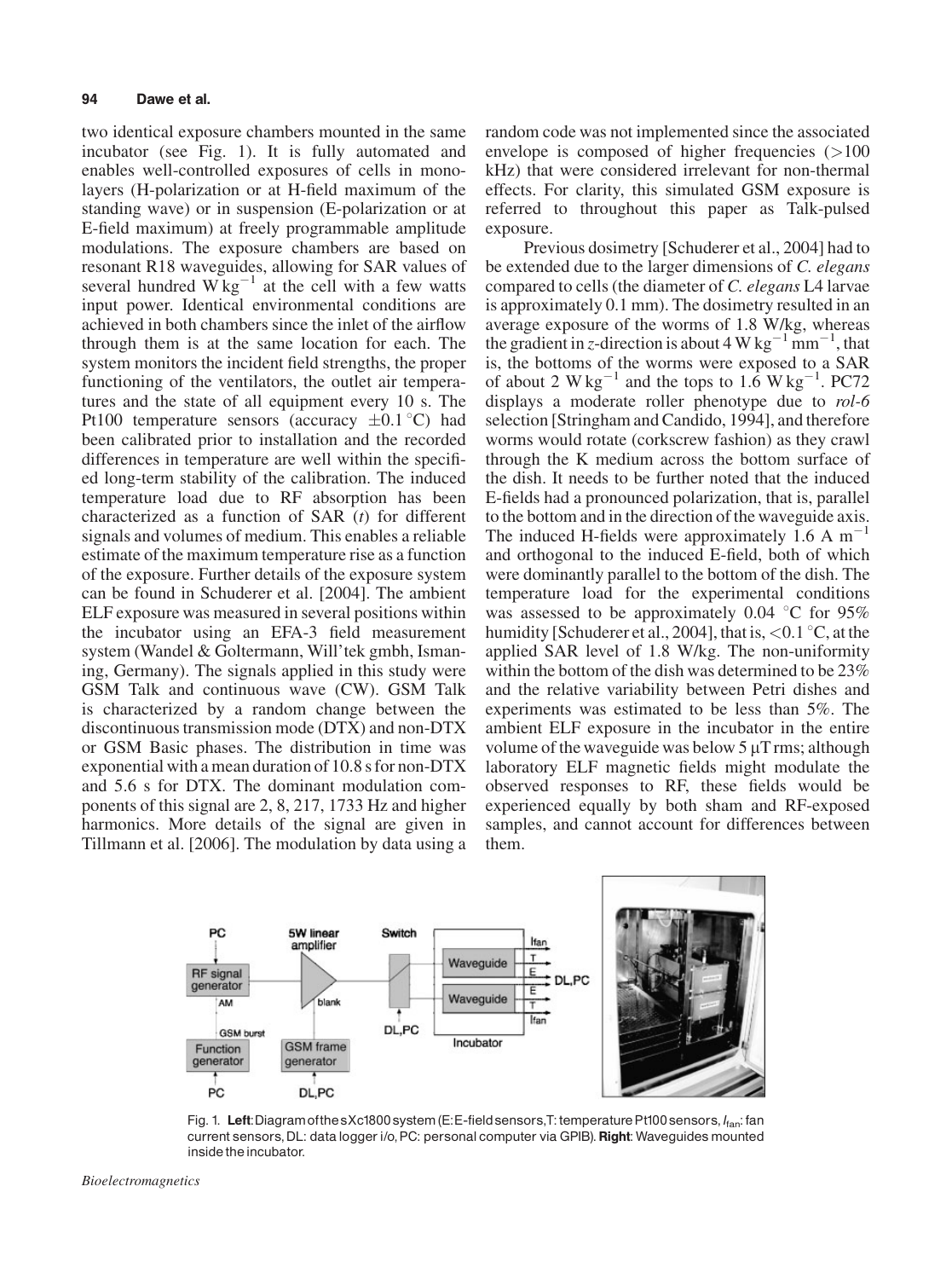two identical exposure chambers mounted in the same incubator (see Fig. 1). It is fully automated and enables well-controlled exposures of cells in monolayers (H-polarization or at H-field maximum of the standing wave) or in suspension (E-polarization or at E-field maximum) at freely programmable amplitude modulations. The exposure chambers are based on resonant R18 waveguides, allowing for SAR values of several hundred  $W \text{kg}^{-1}$  at the cell with a few watts input power. Identical environmental conditions are achieved in both chambers since the inlet of the airflow through them is at the same location for each. The system monitors the incident field strengths, the proper functioning of the ventilators, the outlet air temperatures and the state of all equipment every 10 s. The Pt100 temperature sensors (accuracy  $\pm 0.1$  °C) had been calibrated prior to installation and the recorded differences in temperature are well within the specified long-term stability of the calibration. The induced temperature load due to RF absorption has been characterized as a function of SAR  $(t)$  for different signals and volumes of medium. This enables a reliable estimate of the maximum temperature rise as a function of the exposure. Further details of the exposure system can be found in Schuderer et al. [2004]. The ambient ELF exposure was measured in several positions within the incubator using an EFA-3 field measurement system (Wandel & Goltermann, Will'tek gmbh, Ismaning, Germany). The signals applied in this study were GSM Talk and continuous wave (CW). GSM Talk is characterized by a random change between the discontinuous transmission mode (DTX) and non-DTX or GSM Basic phases. The distribution in time was exponential with a mean duration of 10.8 s for non-DTX and 5.6 s for DTX. The dominant modulation components of this signal are 2, 8, 217, 1733 Hz and higher harmonics. More details of the signal are given in Tillmann et al. [2006]. The modulation by data using a

random code was not implemented since the associated envelope is composed of higher frequencies  $(>100$ kHz) that were considered irrelevant for non-thermal effects. For clarity, this simulated GSM exposure is referred to throughout this paper as Talk-pulsed exposure.

Previous dosimetry [Schuderer et al., 2004] had to be extended due to the larger dimensions of C. elegans compared to cells (the diameter of C. elegans L4 larvae is approximately 0.1 mm). The dosimetry resulted in an average exposure of the worms of 1.8 W/kg, whereas the gradient in z-direction is about 4 W kg<sup>-1</sup> mm<sup>-1</sup>, that is, the bottoms of the worms were exposed to a SAR of about 2  $W kg^{-1}$  and the tops to 1.6  $W kg^{-1}$ . PC72 displays a moderate roller phenotype due to rol-6 selection [Stringham and Candido, 1994], and therefore worms would rotate (corkscrew fashion) as they crawl through the K medium across the bottom surface of the dish. It needs to be further noted that the induced E-fields had a pronounced polarization, that is, parallel to the bottom and in the direction of the waveguide axis. The induced H-fields were approximately 1.6 A  $m^{-1}$ and orthogonal to the induced E-field, both of which were dominantly parallel to the bottom of the dish. The temperature load for the experimental conditions was assessed to be approximately 0.04  $\degree$ C for 95% humidity [Schuderer et al., 2004], that is,  $\langle 0.1 \degree C$ , at the applied SAR level of 1.8 W/kg. The non-uniformity within the bottom of the dish was determined to be 23% and the relative variability between Petri dishes and experiments was estimated to be less than 5%. The ambient ELF exposure in the incubator in the entire volume of the waveguide was below  $5 \mu$ T rms; although laboratory ELF magnetic fields might modulate the observed responses to RF, these fields would be experienced equally by both sham and RF-exposed samples, and cannot account for differences between them.



Fig. 1. Left: Diagram of the sXc1800 system (E: E-field sensors, T: temperature Pt100 sensors,  $I_{\text{fan}}$ : fan current sensors, DL: data logger i/o, PC: personal computer via GPIB). Right: Waveguides mounted inside the incubator.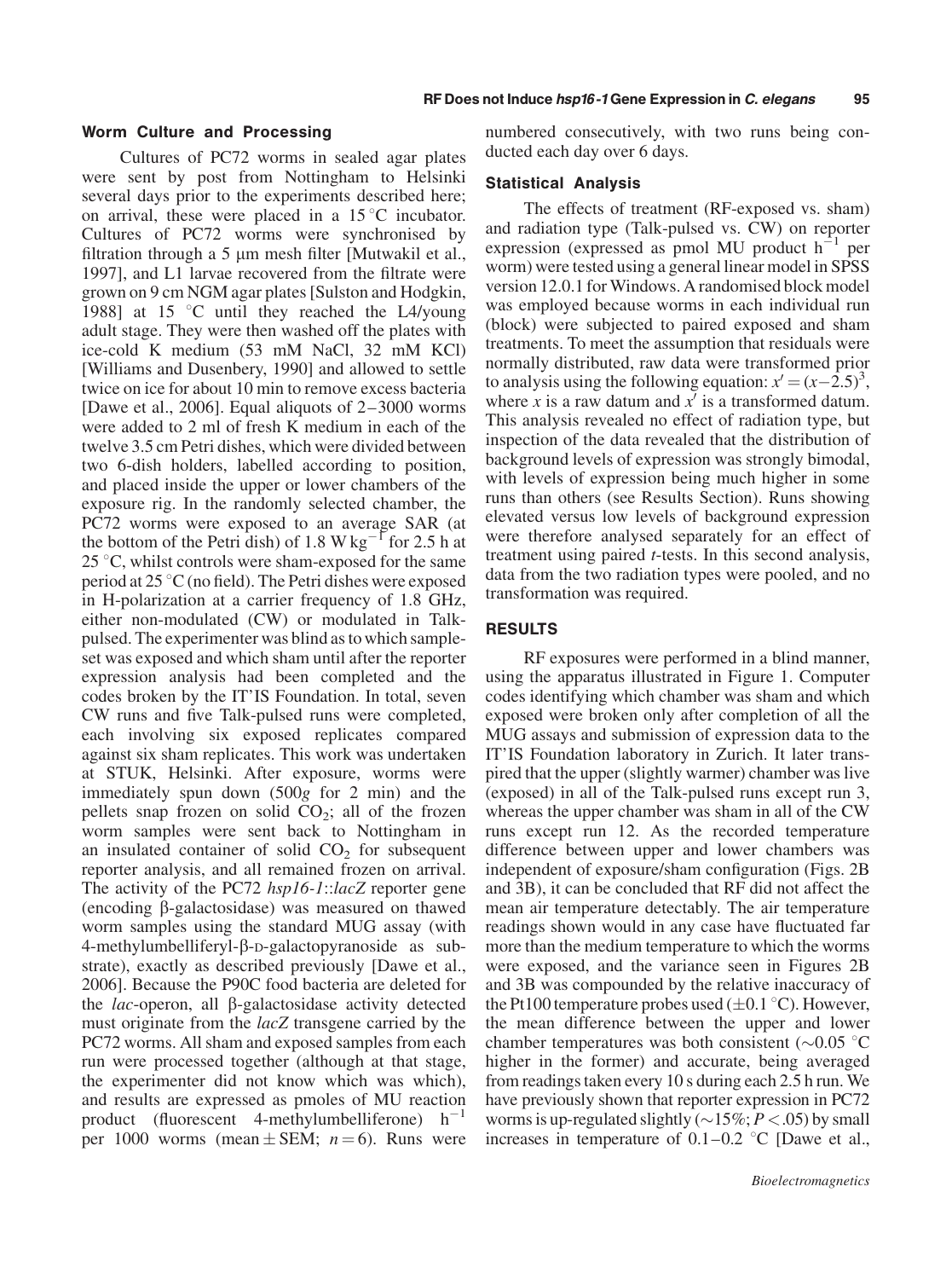#### Worm Culture and Processing

Cultures of PC72 worms in sealed agar plates were sent by post from Nottingham to Helsinki several days prior to the experiments described here; on arrival, these were placed in a  $15^{\circ}$ C incubator. Cultures of PC72 worms were synchronised by filtration through a  $5 \mu m$  mesh filter [Mutwakil et al., 1997], and L1 larvae recovered from the filtrate were grown on 9 cm NGM agar plates [Sulston and Hodgkin, 1988] at 15  $\degree$ C until they reached the L4/young adult stage. They were then washed off the plates with ice-cold K medium (53 mM NaCl, 32 mM KCl) [Williams and Dusenbery, 1990] and allowed to settle twice on ice for about 10 min to remove excess bacteria [Dawe et al., 2006]. Equal aliquots of 2–3000 worms were added to 2 ml of fresh K medium in each of the twelve 3.5 cm Petri dishes, which were divided between two 6-dish holders, labelled according to position, and placed inside the upper or lower chambers of the exposure rig. In the randomly selected chamber, the PC72 worms were exposed to an average SAR (at the bottom of the Petri dish) of 1.8 W kg<sup>-1</sup> for 2.5 h at  $25^{\circ}$ C, whilst controls were sham-exposed for the same period at  $25^{\circ}$ C (no field). The Petri dishes were exposed in H-polarization at a carrier frequency of 1.8 GHz, either non-modulated (CW) or modulated in Talkpulsed. The experimenter was blind as to which sampleset was exposed and which sham until after the reporter expression analysis had been completed and the codes broken by the IT'IS Foundation. In total, seven CW runs and five Talk-pulsed runs were completed, each involving six exposed replicates compared against six sham replicates. This work was undertaken at STUK, Helsinki. After exposure, worms were immediately spun down (500g for 2 min) and the pellets snap frozen on solid  $CO<sub>2</sub>$ ; all of the frozen worm samples were sent back to Nottingham in an insulated container of solid  $CO<sub>2</sub>$  for subsequent reporter analysis, and all remained frozen on arrival. The activity of the PC72 hsp16-1::lacZ reporter gene (encoding  $\beta$ -galactosidase) was measured on thawed worm samples using the standard MUG assay (with 4-methylumbelliferyl-b-D-galactopyranoside as substrate), exactly as described previously [Dawe et al., 2006]. Because the P90C food bacteria are deleted for the  $lac$ -operon, all  $\beta$ -galactosidase activity detected must originate from the *lacZ* transgene carried by the PC72 worms. All sham and exposed samples from each run were processed together (although at that stage, the experimenter did not know which was which), and results are expressed as pmoles of MU reaction product (fluorescent 4-methylumbelliferone)  $h^{-1}$ per 1000 worms (mean  $\pm$  SEM;  $n = 6$ ). Runs were numbered consecutively, with two runs being conducted each day over 6 days.

#### Statistical Analysis

The effects of treatment (RF-exposed vs. sham) and radiation type (Talk-pulsed vs. CW) on reporter expression (expressed as pmol MU product  $h^{-1}$  per worm) were tested using a general linear model in SPSS version 12.0.1 for Windows. A randomised block model was employed because worms in each individual run (block) were subjected to paired exposed and sham treatments. To meet the assumption that residuals were normally distributed, raw data were transformed prior to analysis using the following equation:  $x' = (x - 2.5)^3$ , where x is a raw datum and  $x'$  is a transformed datum. This analysis revealed no effect of radiation type, but inspection of the data revealed that the distribution of background levels of expression was strongly bimodal, with levels of expression being much higher in some runs than others (see Results Section). Runs showing elevated versus low levels of background expression were therefore analysed separately for an effect of treatment using paired t-tests. In this second analysis, data from the two radiation types were pooled, and no transformation was required.

## RESULTS

RF exposures were performed in a blind manner, using the apparatus illustrated in Figure 1. Computer codes identifying which chamber was sham and which exposed were broken only after completion of all the MUG assays and submission of expression data to the IT'IS Foundation laboratory in Zurich. It later transpired that the upper (slightly warmer) chamber was live (exposed) in all of the Talk-pulsed runs except run 3, whereas the upper chamber was sham in all of the CW runs except run 12. As the recorded temperature difference between upper and lower chambers was independent of exposure/sham configuration (Figs. 2B and 3B), it can be concluded that RF did not affect the mean air temperature detectably. The air temperature readings shown would in any case have fluctuated far more than the medium temperature to which the worms were exposed, and the variance seen in Figures 2B and 3B was compounded by the relative inaccuracy of the Pt100 temperature probes used  $(\pm 0.1 \degree C)$ . However, the mean difference between the upper and lower chamber temperatures was both consistent ( $\sim$ 0.05 °C higher in the former) and accurate, being averaged from readings taken every 10 s during each 2.5 h run. We have previously shown that reporter expression in PC72 worms is up-regulated slightly ( $\sim$ 15%;  $P$  < .05) by small increases in temperature of  $0.1-0.2$  °C [Dawe et al.,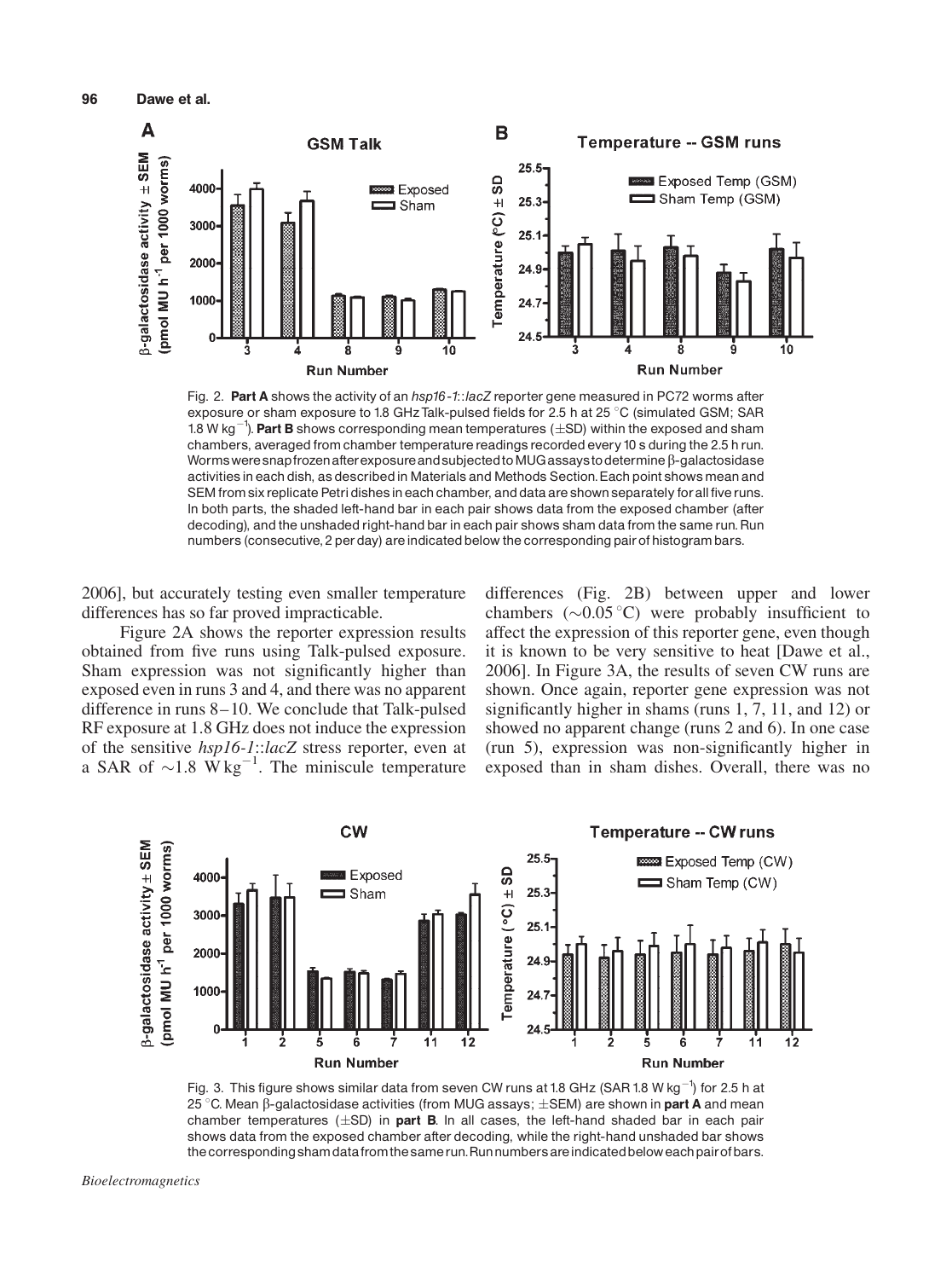

Fig. 2. Part A shows the activity of an  $hsp16 - 1$ : lacZ reporter gene measured in PC72 worms after exposure or sham exposure to 1.8 GHz Talk-pulsed fields for 2.5 h at 25 °C (simulated GSM; SAR 1.8 W kg<sup>-1</sup>). Part B shows corresponding mean temperatures ( $\pm$ SD) within the exposed and sham chambers, averaged from chamber temperature readings recorded every 10 s during the 2.5 h run. Worms were snapfrozen after exposure and subjected to MUG assays to determine  $\beta$ -galactosidase activities in each dish, as described in Materials and Methods Section. Each point shows mean and SEM from six replicate Petri dishes in each chamber, and data are shown separately for all five runs. In both parts, the shaded left-hand bar in each pair shows data from the exposed chamber (after decoding), and the unshaded right-hand bar in each pair shows sham data from the same run. Run numbers (consecutive, 2 perday) areindicated below the corresponding pairof histogram bars.

2006], but accurately testing even smaller temperature differences has so far proved impracticable.

Figure 2A shows the reporter expression results obtained from five runs using Talk-pulsed exposure. Sham expression was not significantly higher than exposed even in runs 3 and 4, and there was no apparent difference in runs 8–10. We conclude that Talk-pulsed RF exposure at 1.8 GHz does not induce the expression of the sensitive hsp16-1::lacZ stress reporter, even at a SAR of  $\sim$ 1.8 W kg<sup>-1</sup>. The miniscule temperature

differences (Fig. 2B) between upper and lower chambers  $(\sim 0.05 \degree C)$  were probably insufficient to affect the expression of this reporter gene, even though it is known to be very sensitive to heat [Dawe et al., 2006]. In Figure 3A, the results of seven CW runs are shown. Once again, reporter gene expression was not significantly higher in shams (runs 1, 7, 11, and 12) or showed no apparent change (runs 2 and 6). In one case (run 5), expression was non-significantly higher in exposed than in sham dishes. Overall, there was no



Fig. 3. This figure shows similar data from seven CW runs at 1.8 GHz (SAR 1.8 W kg<sup>-1</sup>) for 2.5 h at 25 °C. Mean  $\beta$ -galactosidase activities (from MUG assays;  $\pm$ SEM) are shown in **part A** and mean chamber temperatures  $(\pm SD)$  in part B. In all cases, the left-hand shaded bar in each pair shows data from the exposed chamber after decoding, while the right-hand unshaded bar shows the corresponding sham data from the same run. Run numbers are indicated below each pair of bars.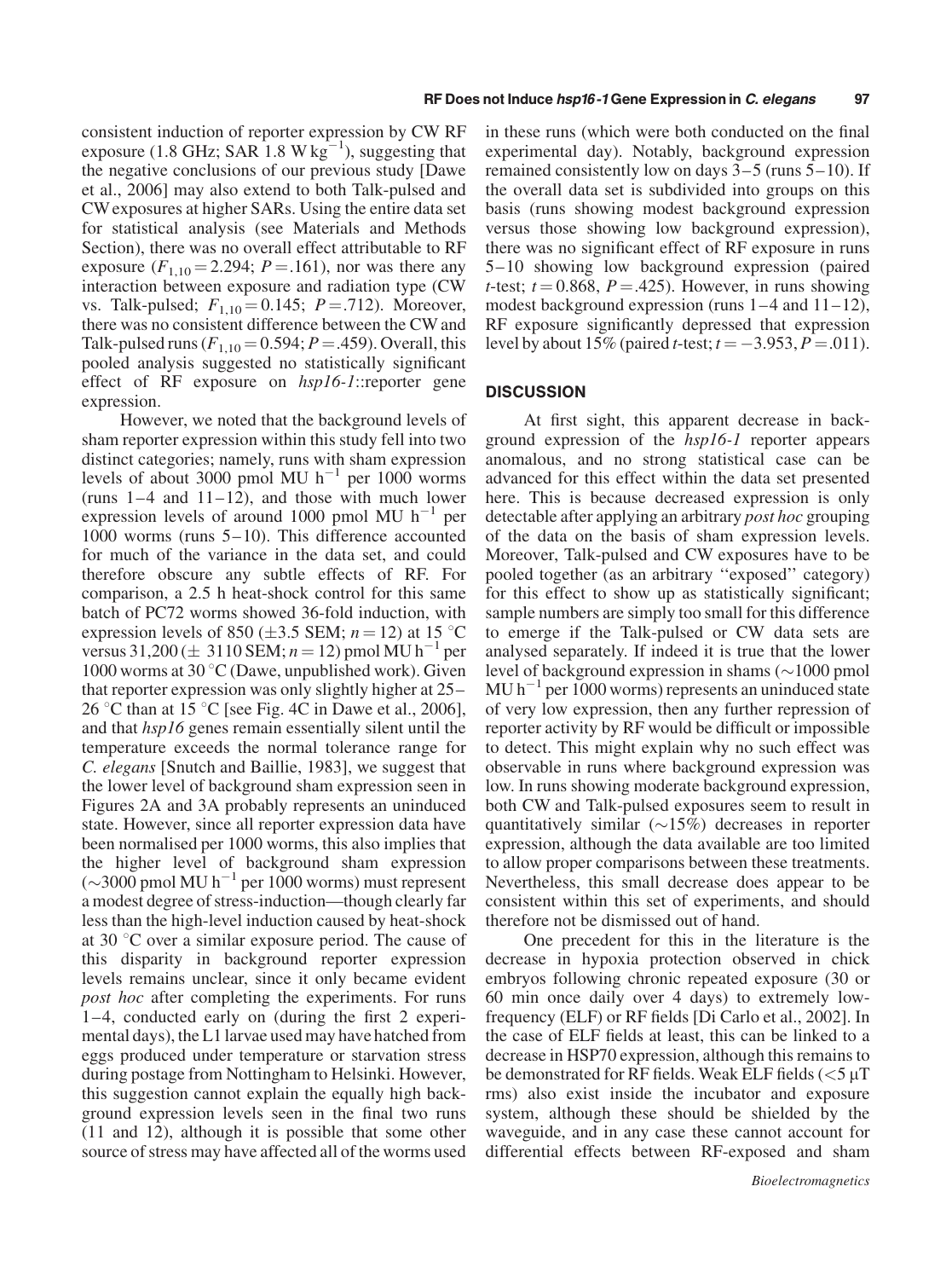consistent induction of reporter expression by CW RF exposure (1.8 GHz; SAR 1.8 W  $\text{kg}^{-1}$ ), suggesting that the negative conclusions of our previous study [Dawe et al., 2006] may also extend to both Talk-pulsed and CW exposures at higher SARs. Using the entire data set for statistical analysis (see Materials and Methods Section), there was no overall effect attributable to RF exposure  $(F_{1,10} = 2.294; P = .161)$ , nor was there any interaction between exposure and radiation type (CW vs. Talk-pulsed;  $F_{1,10} = 0.145$ ;  $P = .712$ ). Moreover, there was no consistent difference between the CW and Talk-pulsed runs ( $F_{1,10} = 0.594$ ;  $P = .459$ ). Overall, this pooled analysis suggested no statistically significant effect of RF exposure on hsp16-1::reporter gene expression.

However, we noted that the background levels of sham reporter expression within this study fell into two distinct categories; namely, runs with sham expression levels of about 3000 pmol MU  $h^{-1}$  per 1000 worms (runs  $1-4$  and  $11-12$ ), and those with much lower expression levels of around 1000 pmol MU  $h^{-1}$  per 1000 worms (runs 5–10). This difference accounted for much of the variance in the data set, and could therefore obscure any subtle effects of RF. For comparison, a 2.5 h heat-shock control for this same batch of PC72 worms showed 36-fold induction, with expression levels of 850 ( $\pm$ 3.5 SEM; n = 12) at 15 °C versus  $31,200 (\pm 3110 \text{ SEM}; n = 12)$  pmol MU h<sup>-1</sup> per 1000 worms at 30  $\mathrm{C}$  (Dawe, unpublished work). Given that reporter expression was only slightly higher at 25– 26 °C than at 15 °C [see Fig. 4C in Dawe et al., 2006], and that hsp16 genes remain essentially silent until the temperature exceeds the normal tolerance range for C. elegans [Snutch and Baillie, 1983], we suggest that the lower level of background sham expression seen in Figures 2A and 3A probably represents an uninduced state. However, since all reporter expression data have been normalised per 1000 worms, this also implies that the higher level of background sham expression  $(\sim]3000$  pmol MU h<sup>-1</sup> per 1000 worms) must represent a modest degree of stress-induction—though clearly far less than the high-level induction caused by heat-shock at 30  $\degree$ C over a similar exposure period. The cause of this disparity in background reporter expression levels remains unclear, since it only became evident post hoc after completing the experiments. For runs 1–4, conducted early on (during the first 2 experimental days), the L1 larvae used may have hatched from eggs produced under temperature or starvation stress during postage from Nottingham to Helsinki. However, this suggestion cannot explain the equally high background expression levels seen in the final two runs (11 and 12), although it is possible that some other source of stress may have affected all of the worms used

in these runs (which were both conducted on the final experimental day). Notably, background expression remained consistently low on days 3–5 (runs 5–10). If the overall data set is subdivided into groups on this basis (runs showing modest background expression versus those showing low background expression), there was no significant effect of RF exposure in runs 5–10 showing low background expression (paired *t*-test;  $t = 0.868$ ,  $P = .425$ ). However, in runs showing modest background expression (runs  $1-4$  and  $11-12$ ), RF exposure significantly depressed that expression level by about 15% (paired *t*-test;  $t = -3.953$ ,  $P = .011$ ).

#### **DISCUSSION**

At first sight, this apparent decrease in background expression of the hsp16-1 reporter appears anomalous, and no strong statistical case can be advanced for this effect within the data set presented here. This is because decreased expression is only detectable after applying an arbitrary post hoc grouping of the data on the basis of sham expression levels. Moreover, Talk-pulsed and CW exposures have to be pooled together (as an arbitrary ''exposed'' category) for this effect to show up as statistically significant; sample numbers are simply too small for this difference to emerge if the Talk-pulsed or CW data sets are analysed separately. If indeed it is true that the lower level of background expression in shams  $(\sim]1000$  pmol  $MU h^{-1}$  per 1000 worms) represents an uninduced state of very low expression, then any further repression of reporter activity by RF would be difficult or impossible to detect. This might explain why no such effect was observable in runs where background expression was low. In runs showing moderate background expression, both CW and Talk-pulsed exposures seem to result in quantitatively similar  $(\sim 15\%)$  decreases in reporter expression, although the data available are too limited to allow proper comparisons between these treatments. Nevertheless, this small decrease does appear to be consistent within this set of experiments, and should therefore not be dismissed out of hand.

One precedent for this in the literature is the decrease in hypoxia protection observed in chick embryos following chronic repeated exposure (30 or 60 min once daily over 4 days) to extremely lowfrequency (ELF) or RF fields [Di Carlo et al., 2002]. In the case of ELF fields at least, this can be linked to a decrease in HSP70 expression, although this remains to be demonstrated for RF fields. Weak ELF fields  $\langle$  <5  $\mu$ T rms) also exist inside the incubator and exposure system, although these should be shielded by the waveguide, and in any case these cannot account for differential effects between RF-exposed and sham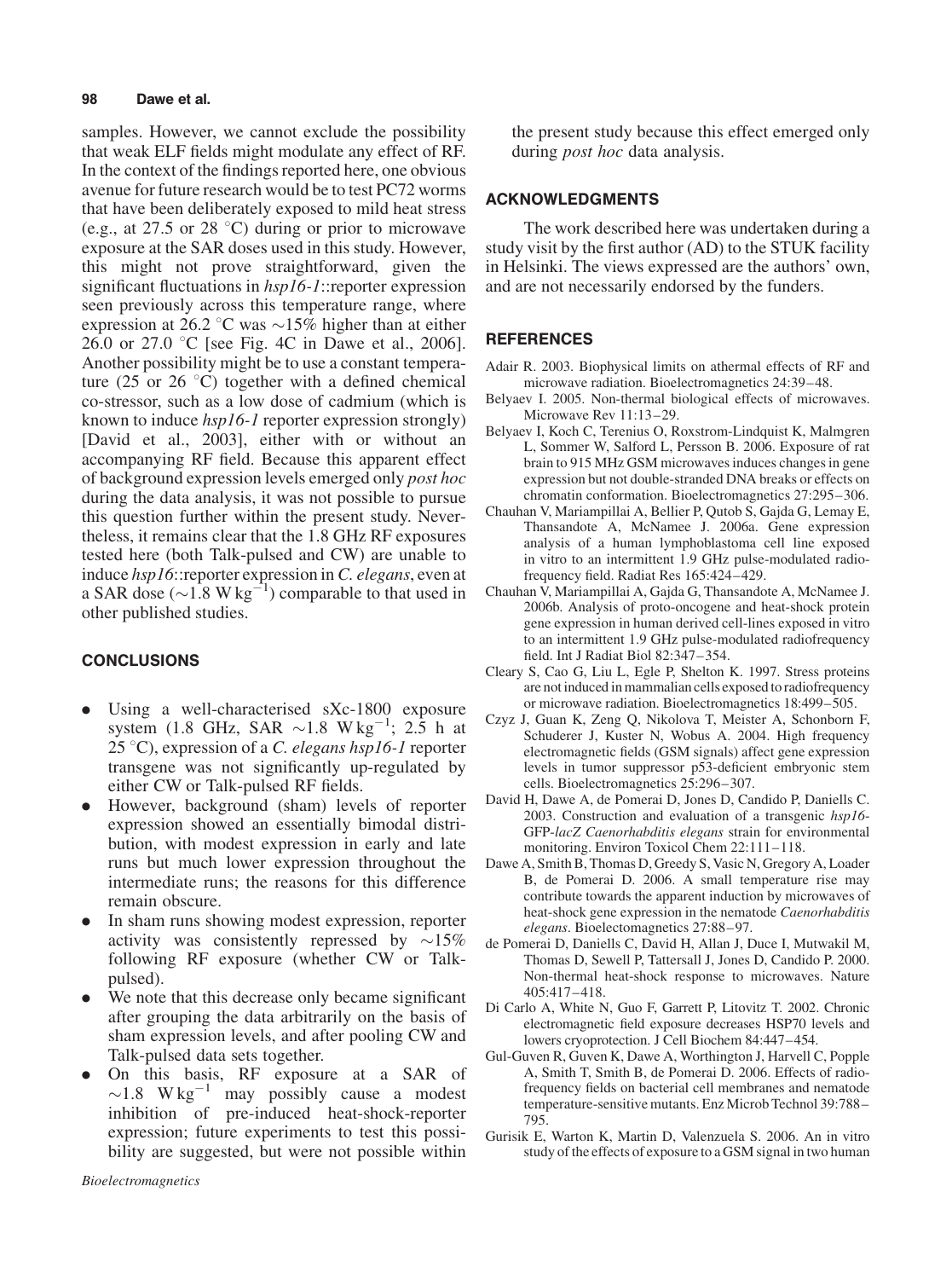#### 98 Dawe et al.

samples. However, we cannot exclude the possibility that weak ELF fields might modulate any effect of RF. In the context of the findings reported here, one obvious avenue for future research would be to test PC72 worms that have been deliberately exposed to mild heat stress (e.g., at 27.5 or 28  $^{\circ}$ C) during or prior to microwave exposure at the SAR doses used in this study. However, this might not prove straightforward, given the significant fluctuations in hsp16-1::reporter expression seen previously across this temperature range, where expression at 26.2 °C was  $\sim$ 15% higher than at either 26.0 or 27.0  $\degree$ C [see Fig. 4C in Dawe et al., 2006]. Another possibility might be to use a constant temperature (25 or 26  $\degree$ C) together with a defined chemical co-stressor, such as a low dose of cadmium (which is known to induce hsp16-1 reporter expression strongly) [David et al., 2003], either with or without an accompanying RF field. Because this apparent effect of background expression levels emerged only post hoc during the data analysis, it was not possible to pursue this question further within the present study. Nevertheless, it remains clear that the 1.8 GHz RF exposures tested here (both Talk-pulsed and CW) are unable to induce hsp16::reporter expression in C. elegans, even at a SAR dose ( $\sim$ 1.8 W kg<sup>-1</sup>) comparable to that used in other published studies.

# **CONCLUSIONS**

- . Using a well-characterised sXc-1800 exposure system (1.8 GHz, SAR  $\sim$ 1.8 W kg<sup>-1</sup>; 2.5 h at 25 °C), expression of a C. elegans hsp16-1 reporter transgene was not significantly up-regulated by either CW or Talk-pulsed RF fields.
- . However, background (sham) levels of reporter expression showed an essentially bimodal distribution, with modest expression in early and late runs but much lower expression throughout the intermediate runs; the reasons for this difference remain obscure.
- . In sham runs showing modest expression, reporter activity was consistently repressed by  $\sim$ 15% following RF exposure (whether CW or Talkpulsed).
- . We note that this decrease only became significant after grouping the data arbitrarily on the basis of sham expression levels, and after pooling CW and Talk-pulsed data sets together.
- . On this basis, RF exposure at a SAR of  $\sim$ 1.8 W kg<sup>-1</sup> may possibly cause a modest inhibition of pre-induced heat-shock-reporter expression; future experiments to test this possibility are suggested, but were not possible within

the present study because this effect emerged only during *post hoc* data analysis.

#### ACKNOWLEDGMENTS

The work described here was undertaken during a study visit by the first author (AD) to the STUK facility in Helsinki. The views expressed are the authors' own, and are not necessarily endorsed by the funders.

## REFERENCES

- Adair R. 2003. Biophysical limits on athermal effects of RF and microwave radiation. Bioelectromagnetics 24:39–48.
- Belyaev I. 2005. Non-thermal biological effects of microwaves. Microwave Rev 11:13–29.
- Belyaev I, Koch C, Terenius O, Roxstrom-Lindquist K, Malmgren L, Sommer W, Salford L, Persson B. 2006. Exposure of rat brain to 915 MHz GSM microwaves induces changes in gene expression but not double-stranded DNA breaks or effects on chromatin conformation. Bioelectromagnetics 27:295–306.
- Chauhan V, Mariampillai A, Bellier P, Qutob S, Gajda G, Lemay E, Thansandote A, McNamee J. 2006a. Gene expression analysis of a human lymphoblastoma cell line exposed in vitro to an intermittent 1.9 GHz pulse-modulated radiofrequency field. Radiat Res 165:424–429.
- Chauhan V, Mariampillai A, Gajda G, Thansandote A, McNamee J. 2006b. Analysis of proto-oncogene and heat-shock protein gene expression in human derived cell-lines exposed in vitro to an intermittent 1.9 GHz pulse-modulated radiofrequency field. Int J Radiat Biol 82:347–354.
- Cleary S, Cao G, Liu L, Egle P, Shelton K. 1997. Stress proteins are not induced in mammalian cells exposed to radiofrequency or microwave radiation. Bioelectromagnetics 18:499–505.
- Czyz J, Guan K, Zeng Q, Nikolova T, Meister A, Schonborn F, Schuderer J, Kuster N, Wobus A. 2004. High frequency electromagnetic fields (GSM signals) affect gene expression levels in tumor suppressor p53-deficient embryonic stem cells. Bioelectromagnetics 25:296–307.
- David H, Dawe A, de Pomerai D, Jones D, Candido P, Daniells C. 2003. Construction and evaluation of a transgenic hsp16- GFP-lacZ Caenorhabditis elegans strain for environmental monitoring. Environ Toxicol Chem 22:111–118.
- Dawe A, Smith B, Thomas D, Greedy S, Vasic N, Gregory A, Loader B, de Pomerai D. 2006. A small temperature rise may contribute towards the apparent induction by microwaves of heat-shock gene expression in the nematode Caenorhabditis elegans. Bioelectomagnetics 27:88–97.
- de Pomerai D, Daniells C, David H, Allan J, Duce I, Mutwakil M, Thomas D, Sewell P, Tattersall J, Jones D, Candido P. 2000. Non-thermal heat-shock response to microwaves. Nature 405:417–418.
- Di Carlo A, White N, Guo F, Garrett P, Litovitz T. 2002. Chronic electromagnetic field exposure decreases HSP70 levels and lowers cryoprotection. J Cell Biochem 84:447–454.
- Gul-Guven R, Guven K, Dawe A, Worthington J, Harvell C, Popple A, Smith T, Smith B, de Pomerai D. 2006. Effects of radiofrequency fields on bacterial cell membranes and nematode temperature-sensitive mutants. Enz Microb Technol 39:788– 795.
- Gurisik E, Warton K, Martin D, Valenzuela S. 2006. An in vitro study of the effects of exposure to a GSM signal in two human